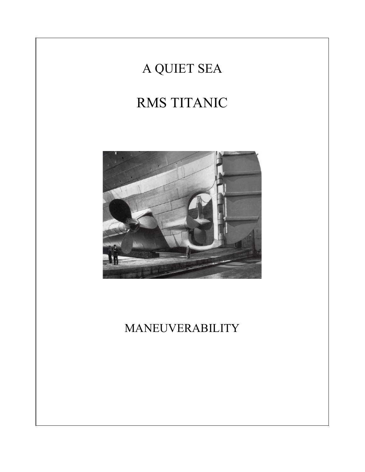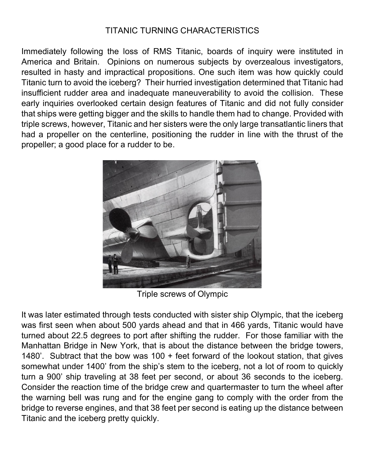## TITANIC TURNING CHARACTERISTICS

Immediately following the loss of RMS Titanic, boards of inquiry were instituted in America and Britain. Opinions on numerous subjects by overzealous investigators, resulted in hasty and impractical propositions. One such item was how quickly could Titanic turn to avoid the iceberg? Their hurried investigation determined that Titanic had insufficient rudder area and inadequate maneuverability to avoid the collision. These early inquiries overlooked certain design features of Titanic and did not fully consider that ships were getting bigger and the skills to handle them had to change. Provided with triple screws, however, Titanic and her sisters were the only large transatlantic liners that had a propeller on the centerline, positioning the rudder in line with the thrust of the propeller; a good place for a rudder to be.



Triple screws of Olympic

It was later estimated through tests conducted with sister ship Olympic, that the iceberg was first seen when about 500 yards ahead and that in 466 yards, Titanic would have turned about 22.5 degrees to port after shifting the rudder. For those familiar with the Manhattan Bridge in New York, that is about the distance between the bridge towers, 1480'. Subtract that the bow was 100 + feet forward of the lookout station, that gives somewhat under 1400' from the ship's stem to the iceberg, not a lot of room to quickly turn a 900' ship traveling at 38 feet per second, or about 36 seconds to the iceberg. Consider the reaction time of the bridge crew and quartermaster to turn the wheel after the warning bell was rung and for the engine gang to comply with the order from the bridge to reverse engines, and that 38 feet per second is eating up the distance between Titanic and the iceberg pretty quickly.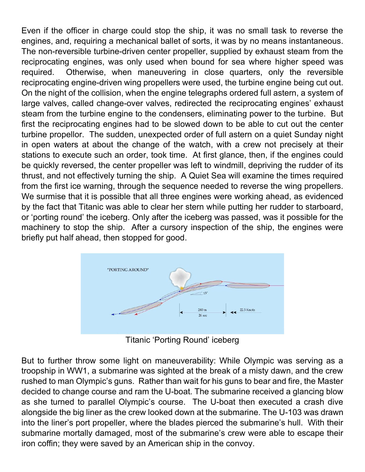Even if the officer in charge could stop the ship, it was no small task to reverse the engines, and, requiring a mechanical ballet of sorts, it was by no means instantaneous. The non-reversible turbine-driven center propeller, supplied by exhaust steam from the reciprocating engines, was only used when bound for sea where higher speed was required. Otherwise, when maneuvering in close quarters, only the reversible reciprocating engine-driven wing propellers were used, the turbine engine being cut out. On the night of the collision, when the engine telegraphs ordered full astern, a system of large valves, called change-over valves, redirected the reciprocating engines' exhaust steam from the turbine engine to the condensers, eliminating power to the turbine. But first the reciprocating engines had to be slowed down to be able to cut out the center turbine propellor. The sudden, unexpected order of full astern on a quiet Sunday night in open waters at about the change of the watch, with a crew not precisely at their stations to execute such an order, took time. At first glance, then, if the engines could be quickly reversed, the center propeller was left to windmill, depriving the rudder of its thrust, and not effectively turning the ship. A Quiet Sea will examine the times required from the first ice warning, through the sequence needed to reverse the wing propellers. We surmise that it is possible that all three engines were working ahead, as evidenced by the fact that Titanic was able to clear her stern while putting her rudder to starboard, or 'porting round' the iceberg. Only after the iceberg was passed, was it possible for the machinery to stop the ship. After a cursory inspection of the ship, the engines were briefly put half ahead, then stopped for good.



Titanic 'Porting Round' iceberg

But to further throw some light on maneuverability: While Olympic was serving as a troopship in WW1, a submarine was sighted at the break of a misty dawn, and the crew rushed to man Olympic's guns. Rather than wait for his guns to bear and fire, the Master decided to change course and ram the U-boat. The submarine received a glancing blow as she turned to parallel Olympic's course. The U-boat then executed a crash dive alongside the big liner as the crew looked down at the submarine. The U-103 was drawn into the liner's port propeller, where the blades pierced the submarine's hull. With their submarine mortally damaged, most of the submarine's crew were able to escape their iron coffin; they were saved by an American ship in the convoy.